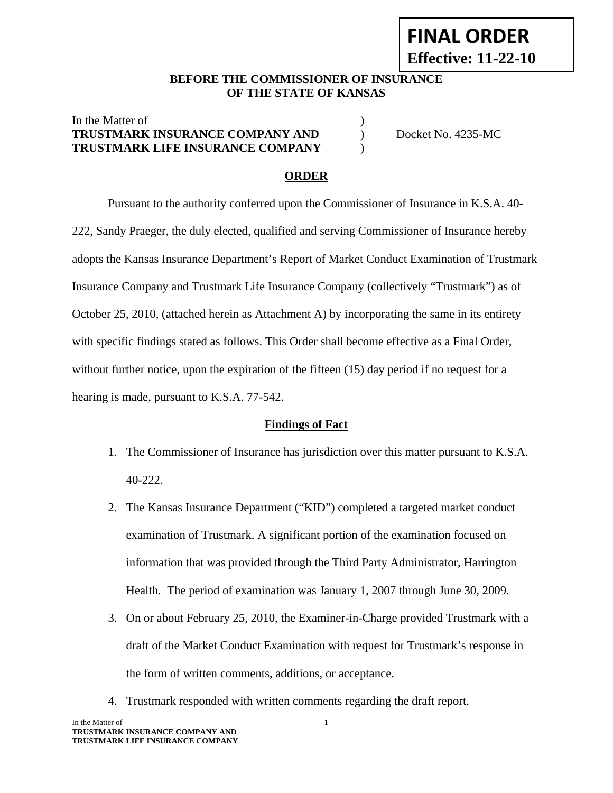# **FINAL ORDER Effective: 11-22-10**

#### **BEFORE THE COMMISSIONER OF INSURANCE OF THE STATE OF KANSAS**

## In the Matter of  $\blacksquare$ **TRUSTMARK INSURANCE COMPANY AND** ) Docket No. 4235-MC **TRUSTMARK LIFE INSURANCE COMPANY** )

#### **ORDER**

 Pursuant to the authority conferred upon the Commissioner of Insurance in K.S.A. 40- 222, Sandy Praeger, the duly elected, qualified and serving Commissioner of Insurance hereby adopts the Kansas Insurance Department's Report of Market Conduct Examination of Trustmark Insurance Company and Trustmark Life Insurance Company (collectively "Trustmark") as of October 25, 2010, (attached herein as Attachment A) by incorporating the same in its entirety with specific findings stated as follows. This Order shall become effective as a Final Order, without further notice, upon the expiration of the fifteen (15) day period if no request for a hearing is made, pursuant to K.S.A. 77-542.

#### **Findings of Fact**

- 1. The Commissioner of Insurance has jurisdiction over this matter pursuant to K.S.A. 40-222.
- 2. The Kansas Insurance Department ("KID") completed a targeted market conduct examination of Trustmark. A significant portion of the examination focused on information that was provided through the Third Party Administrator, Harrington Health. The period of examination was January 1, 2007 through June 30, 2009.
- 3. On or about February 25, 2010, the Examiner-in-Charge provided Trustmark with a draft of the Market Conduct Examination with request for Trustmark's response in the form of written comments, additions, or acceptance.
- 4. Trustmark responded with written comments regarding the draft report.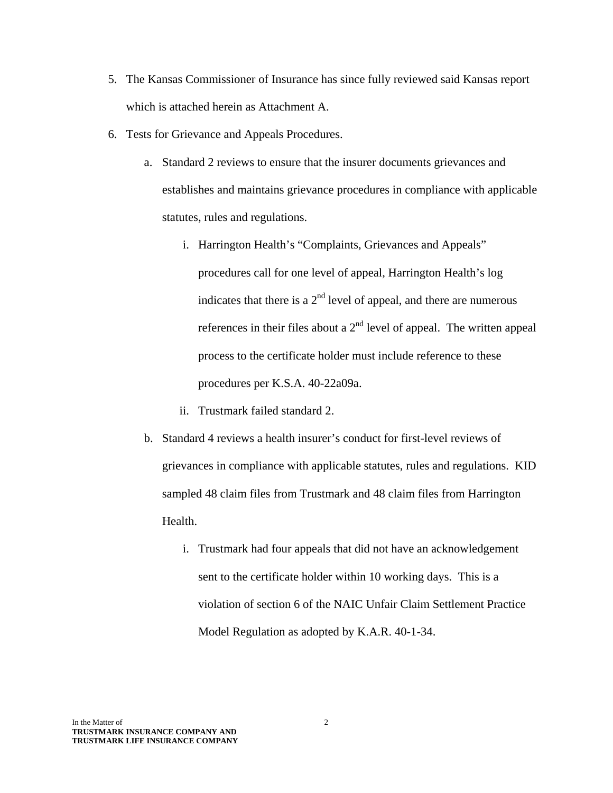- 5. The Kansas Commissioner of Insurance has since fully reviewed said Kansas report which is attached herein as Attachment A.
- 6. Tests for Grievance and Appeals Procedures.
	- a. Standard 2 reviews to ensure that the insurer documents grievances and establishes and maintains grievance procedures in compliance with applicable statutes, rules and regulations.
		- i. Harrington Health's "Complaints, Grievances and Appeals" procedures call for one level of appeal, Harrington Health's log indicates that there is a  $2<sup>nd</sup>$  level of appeal, and there are numerous references in their files about a  $2<sup>nd</sup>$  level of appeal. The written appeal process to the certificate holder must include reference to these procedures per K.S.A. 40-22a09a.
		- ii. Trustmark failed standard 2.
	- b. Standard 4 reviews a health insurer's conduct for first-level reviews of grievances in compliance with applicable statutes, rules and regulations. KID sampled 48 claim files from Trustmark and 48 claim files from Harrington Health.
		- i. Trustmark had four appeals that did not have an acknowledgement sent to the certificate holder within 10 working days. This is a violation of section 6 of the NAIC Unfair Claim Settlement Practice Model Regulation as adopted by K.A.R. 40-1-34.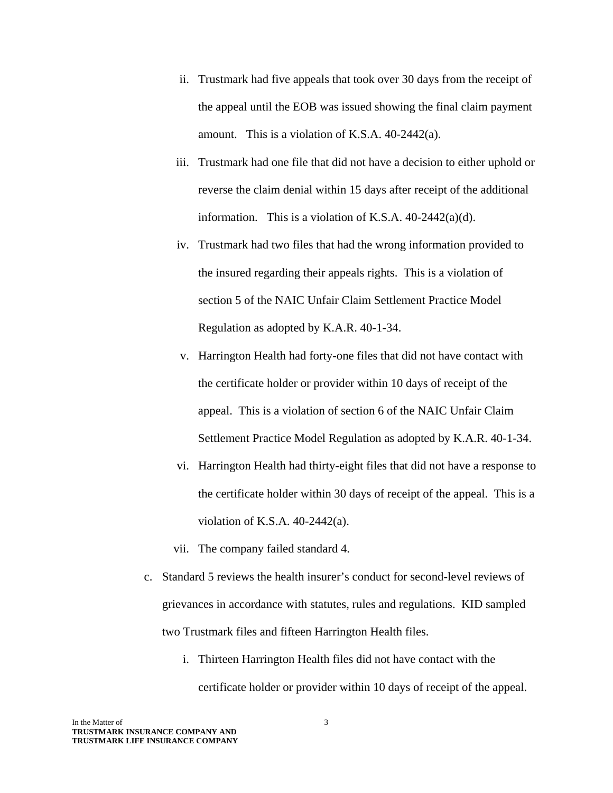- ii. Trustmark had five appeals that took over 30 days from the receipt of the appeal until the EOB was issued showing the final claim payment amount. This is a violation of K.S.A. 40-2442(a).
- iii. Trustmark had one file that did not have a decision to either uphold or reverse the claim denial within 15 days after receipt of the additional information. This is a violation of K.S.A.  $40-2442(a)(d)$ .
- iv. Trustmark had two files that had the wrong information provided to the insured regarding their appeals rights. This is a violation of section 5 of the NAIC Unfair Claim Settlement Practice Model Regulation as adopted by K.A.R. 40-1-34.
- v. Harrington Health had forty-one files that did not have contact with the certificate holder or provider within 10 days of receipt of the appeal. This is a violation of section 6 of the NAIC Unfair Claim Settlement Practice Model Regulation as adopted by K.A.R. 40-1-34.
- vi. Harrington Health had thirty-eight files that did not have a response to the certificate holder within 30 days of receipt of the appeal. This is a violation of K.S.A. 40-2442(a).
- vii. The company failed standard 4.
- c. Standard 5 reviews the health insurer's conduct for second-level reviews of grievances in accordance with statutes, rules and regulations. KID sampled two Trustmark files and fifteen Harrington Health files.
	- i. Thirteen Harrington Health files did not have contact with the certificate holder or provider within 10 days of receipt of the appeal.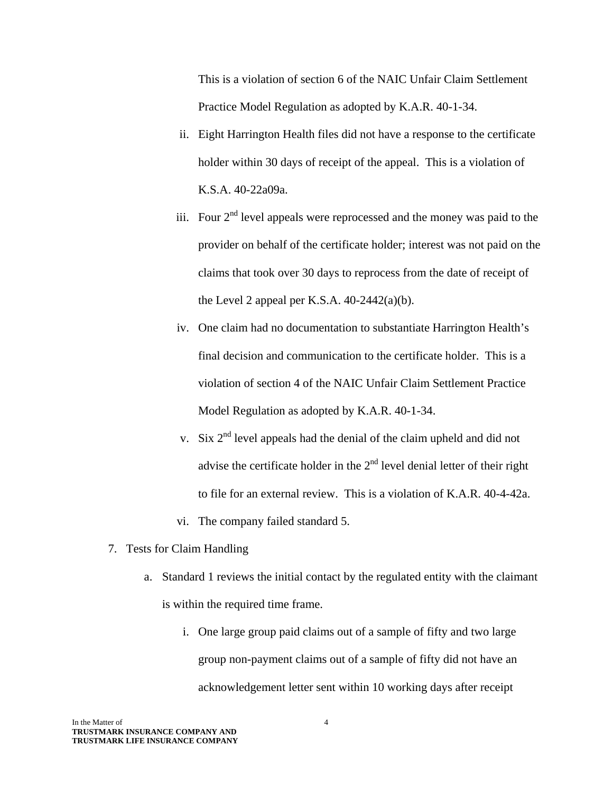This is a violation of section 6 of the NAIC Unfair Claim Settlement Practice Model Regulation as adopted by K.A.R. 40-1-34.

- ii. Eight Harrington Health files did not have a response to the certificate holder within 30 days of receipt of the appeal. This is a violation of K.S.A. 40-22a09a.
- iii. Four  $2<sup>nd</sup>$  level appeals were reprocessed and the money was paid to the provider on behalf of the certificate holder; interest was not paid on the claims that took over 30 days to reprocess from the date of receipt of the Level 2 appeal per K.S.A.  $40-2442(a)(b)$ .
- iv. One claim had no documentation to substantiate Harrington Health's final decision and communication to the certificate holder. This is a violation of section 4 of the NAIC Unfair Claim Settlement Practice Model Regulation as adopted by K.A.R. 40-1-34.
- v. Six  $2<sup>nd</sup>$  level appeals had the denial of the claim upheld and did not advise the certificate holder in the  $2<sup>nd</sup>$  level denial letter of their right to file for an external review. This is a violation of K.A.R. 40-4-42a.
- vi. The company failed standard 5.
- 7. Tests for Claim Handling
	- a. Standard 1 reviews the initial contact by the regulated entity with the claimant is within the required time frame.
		- i. One large group paid claims out of a sample of fifty and two large group non-payment claims out of a sample of fifty did not have an acknowledgement letter sent within 10 working days after receipt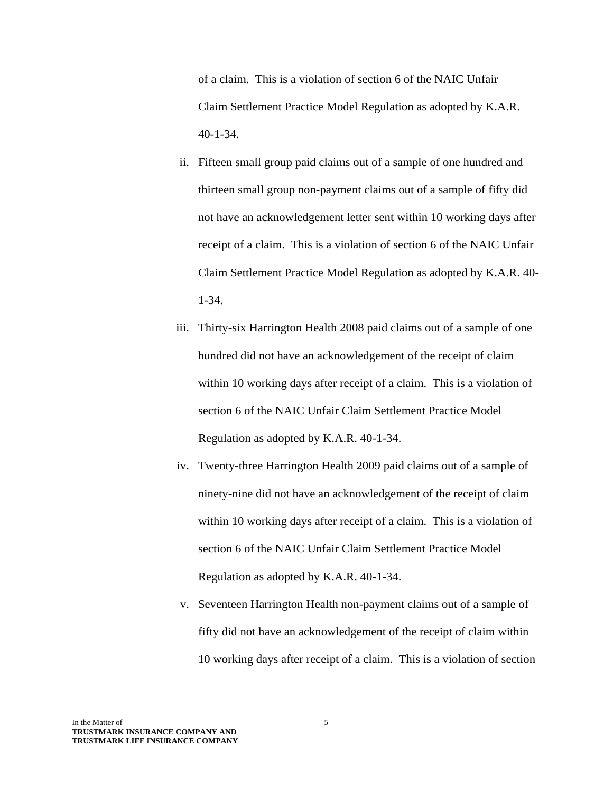of a claim. This is a violation of section 6 of the NAIC Unfair Claim Settlement Practice Model Regulation as adopted by K.A.R. 40-1-34.

- ii. Fifteen small group paid claims out of a sample of one hundred and thirteen small group non-payment claims out of a sample of fifty did not have an acknowledgement letter sent within 10 working days after receipt of a claim. This is a violation of section 6 of the NAIC Unfair Claim Settlement Practice Model Regulation as adopted by K.A.R. 40- 1-34.
- iii. Thirty-six Harrington Health 2008 paid claims out of a sample of one hundred did not have an acknowledgement of the receipt of claim within 10 working days after receipt of a claim. This is a violation of section 6 of the NAIC Unfair Claim Settlement Practice Model Regulation as adopted by K.A.R. 40-1-34.
- iv. Twenty-three Harrington Health 2009 paid claims out of a sample of ninety-nine did not have an acknowledgement of the receipt of claim within 10 working days after receipt of a claim. This is a violation of section 6 of the NAIC Unfair Claim Settlement Practice Model Regulation as adopted by K.A.R. 40-1-34.
- v. Seventeen Harrington Health non-payment claims out of a sample of fifty did not have an acknowledgement of the receipt of claim within 10 working days after receipt of a claim. This is a violation of section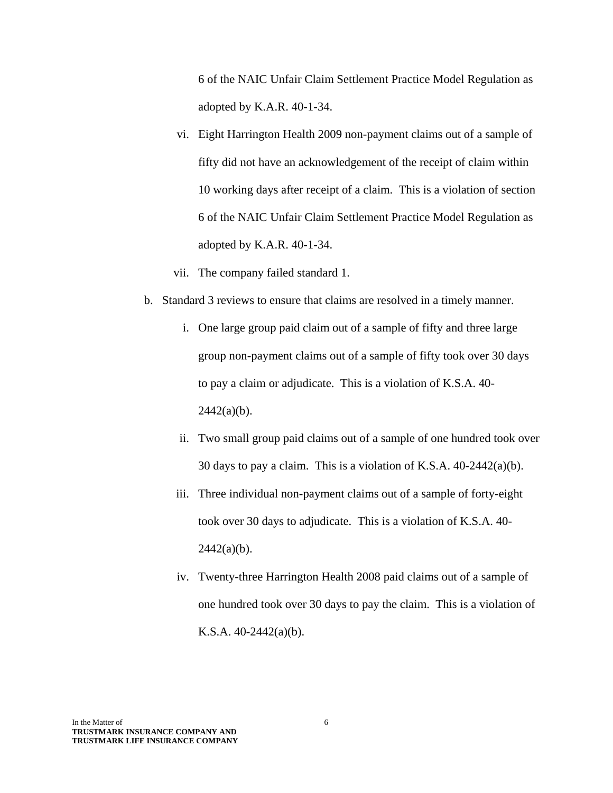6 of the NAIC Unfair Claim Settlement Practice Model Regulation as adopted by K.A.R. 40-1-34.

- vi. Eight Harrington Health 2009 non-payment claims out of a sample of fifty did not have an acknowledgement of the receipt of claim within 10 working days after receipt of a claim. This is a violation of section 6 of the NAIC Unfair Claim Settlement Practice Model Regulation as adopted by K.A.R. 40-1-34.
- vii. The company failed standard 1.
- b. Standard 3 reviews to ensure that claims are resolved in a timely manner.
	- i. One large group paid claim out of a sample of fifty and three large group non-payment claims out of a sample of fifty took over 30 days to pay a claim or adjudicate. This is a violation of K.S.A. 40-  $2442(a)(b)$ .
	- ii. Two small group paid claims out of a sample of one hundred took over 30 days to pay a claim. This is a violation of K.S.A. 40-2442(a)(b).
	- iii. Three individual non-payment claims out of a sample of forty-eight took over 30 days to adjudicate. This is a violation of K.S.A. 40-  $2442(a)(b)$ .
	- iv. Twenty-three Harrington Health 2008 paid claims out of a sample of one hundred took over 30 days to pay the claim. This is a violation of K.S.A.  $40-2442(a)(b)$ .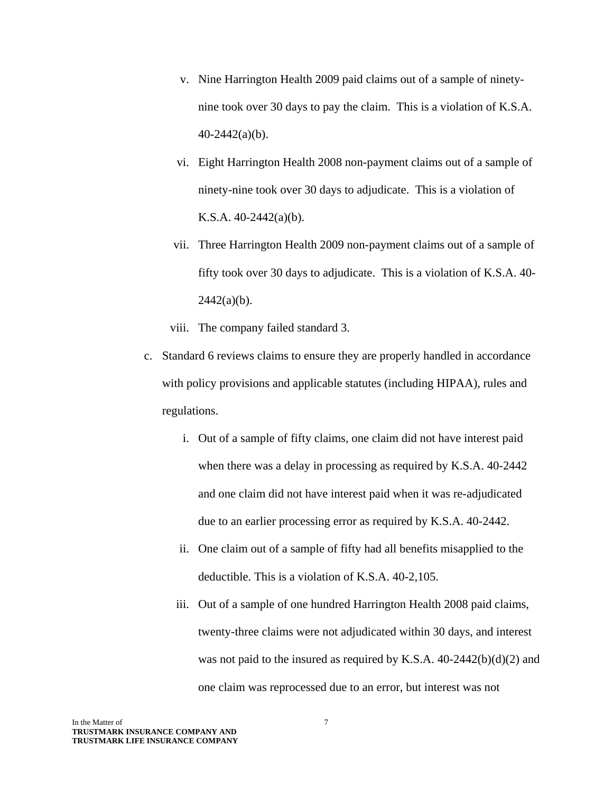- v. Nine Harrington Health 2009 paid claims out of a sample of ninetynine took over 30 days to pay the claim. This is a violation of K.S.A. 40-2442(a)(b).
- vi. Eight Harrington Health 2008 non-payment claims out of a sample of ninety-nine took over 30 days to adjudicate. This is a violation of K.S.A. 40-2442(a)(b).
- vii. Three Harrington Health 2009 non-payment claims out of a sample of fifty took over 30 days to adjudicate. This is a violation of K.S.A. 40-  $2442(a)(b)$ .
- viii. The company failed standard 3.
- c. Standard 6 reviews claims to ensure they are properly handled in accordance with policy provisions and applicable statutes (including HIPAA), rules and regulations.
	- i. Out of a sample of fifty claims, one claim did not have interest paid when there was a delay in processing as required by K.S.A. 40-2442 and one claim did not have interest paid when it was re-adjudicated due to an earlier processing error as required by K.S.A. 40-2442.
	- ii. One claim out of a sample of fifty had all benefits misapplied to the deductible. This is a violation of K.S.A. 40-2,105.
	- iii. Out of a sample of one hundred Harrington Health 2008 paid claims, twenty-three claims were not adjudicated within 30 days, and interest was not paid to the insured as required by K.S.A. 40-2442(b)(d)(2) and one claim was reprocessed due to an error, but interest was not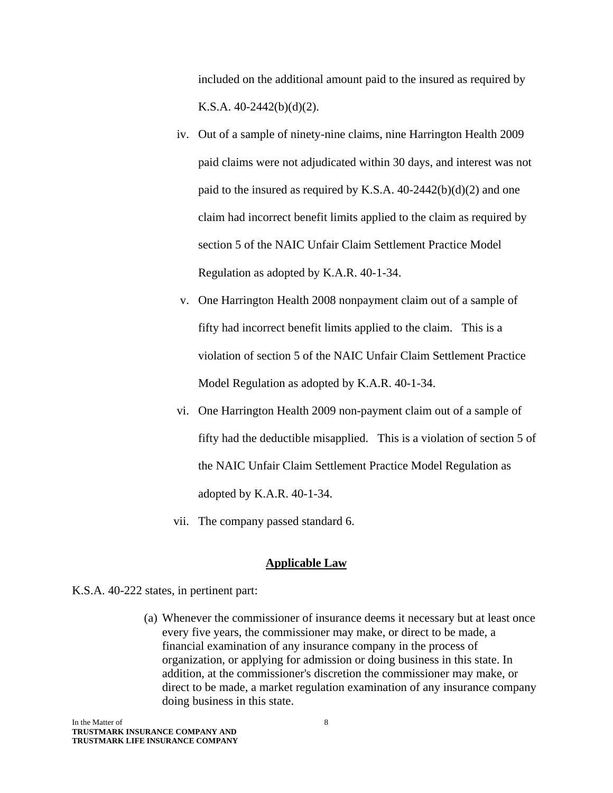included on the additional amount paid to the insured as required by K.S.A. 40-2442(b)(d)(2).

- iv. Out of a sample of ninety-nine claims, nine Harrington Health 2009 paid claims were not adjudicated within 30 days, and interest was not paid to the insured as required by K.S.A. 40-2442(b)(d)(2) and one claim had incorrect benefit limits applied to the claim as required by section 5 of the NAIC Unfair Claim Settlement Practice Model Regulation as adopted by K.A.R. 40-1-34.
- v. One Harrington Health 2008 nonpayment claim out of a sample of fifty had incorrect benefit limits applied to the claim. This is a violation of section 5 of the NAIC Unfair Claim Settlement Practice Model Regulation as adopted by K.A.R. 40-1-34.
- vi. One Harrington Health 2009 non-payment claim out of a sample of fifty had the deductible misapplied. This is a violation of section 5 of the NAIC Unfair Claim Settlement Practice Model Regulation as adopted by K.A.R. 40-1-34.
- vii. The company passed standard 6.

#### **Applicable Law**

K.S.A. 40-222 states, in pertinent part:

(a) Whenever the commissioner of insurance deems it necessary but at least once every five years, the commissioner may make, or direct to be made, a financial examination of any insurance company in the process of organization, or applying for admission or doing business in this state. In addition, at the commissioner's discretion the commissioner may make, or direct to be made, a market regulation examination of any insurance company doing business in this state.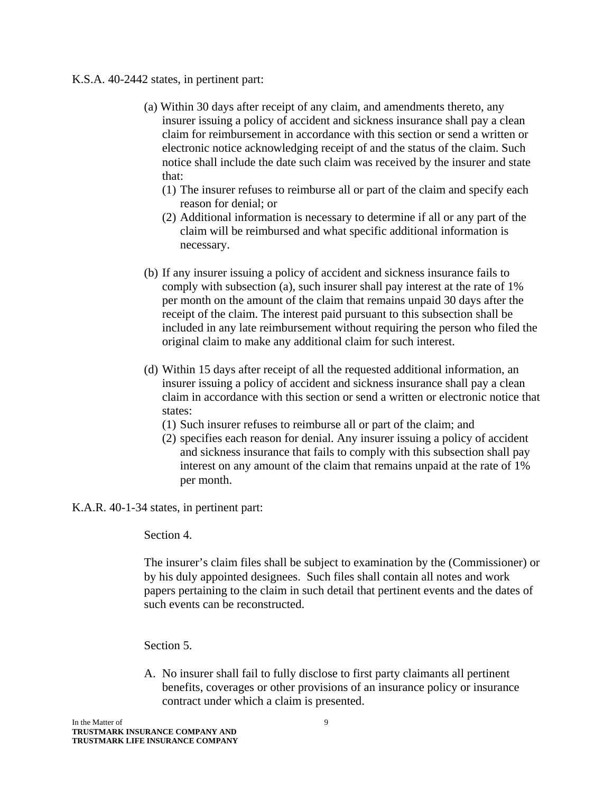#### K.S.A. 40-2442 states, in pertinent part:

- (a) Within 30 days after receipt of any claim, and amendments thereto, any insurer issuing a policy of accident and sickness insurance shall pay a clean claim for reimbursement in accordance with this section or send a written or electronic notice acknowledging receipt of and the status of the claim. Such notice shall include the date such claim was received by the insurer and state that:
	- (1) The insurer refuses to reimburse all or part of the claim and specify each reason for denial; or
	- (2) Additional information is necessary to determine if all or any part of the claim will be reimbursed and what specific additional information is necessary.
- (b) If any insurer issuing a policy of accident and sickness insurance fails to comply with subsection (a), such insurer shall pay interest at the rate of 1% per month on the amount of the claim that remains unpaid 30 days after the receipt of the claim. The interest paid pursuant to this subsection shall be included in any late reimbursement without requiring the person who filed the original claim to make any additional claim for such interest.
- (d) Within 15 days after receipt of all the requested additional information, an insurer issuing a policy of accident and sickness insurance shall pay a clean claim in accordance with this section or send a written or electronic notice that states:
	- (1) Such insurer refuses to reimburse all or part of the claim; and
	- (2) specifies each reason for denial. Any insurer issuing a policy of accident and sickness insurance that fails to comply with this subsection shall pay interest on any amount of the claim that remains unpaid at the rate of 1% per month.

K.A.R. 40-1-34 states, in pertinent part:

Section 4.

The insurer's claim files shall be subject to examination by the (Commissioner) or by his duly appointed designees. Such files shall contain all notes and work papers pertaining to the claim in such detail that pertinent events and the dates of such events can be reconstructed.

Section 5.

A. No insurer shall fail to fully disclose to first party claimants all pertinent benefits, coverages or other provisions of an insurance policy or insurance contract under which a claim is presented.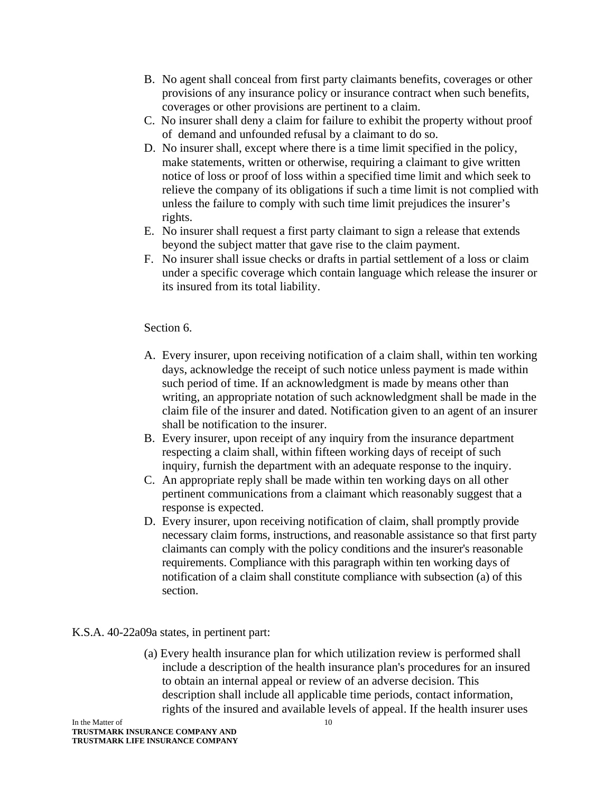- B. No agent shall conceal from first party claimants benefits, coverages or other provisions of any insurance policy or insurance contract when such benefits, coverages or other provisions are pertinent to a claim.
- C. No insurer shall deny a claim for failure to exhibit the property without proof of demand and unfounded refusal by a claimant to do so.
- D. No insurer shall, except where there is a time limit specified in the policy, make statements, written or otherwise, requiring a claimant to give written notice of loss or proof of loss within a specified time limit and which seek to relieve the company of its obligations if such a time limit is not complied with unless the failure to comply with such time limit prejudices the insurer's rights.
- E. No insurer shall request a first party claimant to sign a release that extends beyond the subject matter that gave rise to the claim payment.
- F. No insurer shall issue checks or drafts in partial settlement of a loss or claim under a specific coverage which contain language which release the insurer or its insured from its total liability.

#### Section 6.

- A. Every insurer, upon receiving notification of a claim shall, within ten working days, acknowledge the receipt of such notice unless payment is made within such period of time. If an acknowledgment is made by means other than writing, an appropriate notation of such acknowledgment shall be made in the claim file of the insurer and dated. Notification given to an agent of an insurer shall be notification to the insurer.
- B. Every insurer, upon receipt of any inquiry from the insurance department respecting a claim shall, within fifteen working days of receipt of such inquiry, furnish the department with an adequate response to the inquiry.
- C. An appropriate reply shall be made within ten working days on all other pertinent communications from a claimant which reasonably suggest that a response is expected.
- D. Every insurer, upon receiving notification of claim, shall promptly provide necessary claim forms, instructions, and reasonable assistance so that first party claimants can comply with the policy conditions and the insurer's reasonable requirements. Compliance with this paragraph within ten working days of notification of a claim shall constitute compliance with subsection (a) of this section.

## K.S.A. 40-22a09a states, in pertinent part:

(a) Every health insurance plan for which utilization review is performed shall include a description of the health insurance plan's procedures for an insured to obtain an internal appeal or review of an adverse decision. This description shall include all applicable time periods, contact information, rights of the insured and available levels of appeal. If the health insurer uses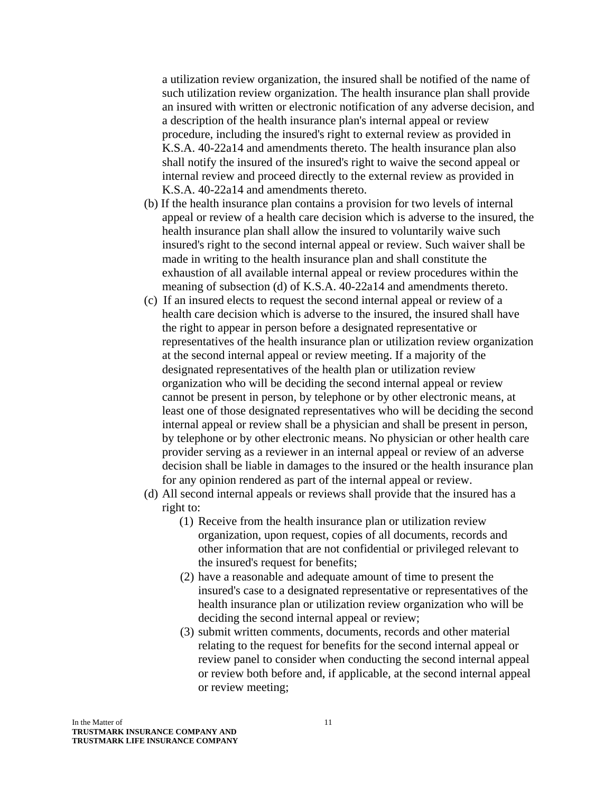a utilization review organization, the insured shall be notified of the name of such utilization review organization. The health insurance plan shall provide an insured with written or electronic notification of any adverse decision, and a description of the health insurance plan's internal appeal or review procedure, including the insured's right to external review as provided in K.S.A. 40-22a14 and amendments thereto. The health insurance plan also shall notify the insured of the insured's right to waive the second appeal or internal review and proceed directly to the external review as provided in K.S.A. 40-22a14 and amendments thereto.

- (b) If the health insurance plan contains a provision for two levels of internal appeal or review of a health care decision which is adverse to the insured, the health insurance plan shall allow the insured to voluntarily waive such insured's right to the second internal appeal or review. Such waiver shall be made in writing to the health insurance plan and shall constitute the exhaustion of all available internal appeal or review procedures within the meaning of subsection (d) of K.S.A. 40-22a14 and amendments thereto.
- (c) If an insured elects to request the second internal appeal or review of a health care decision which is adverse to the insured, the insured shall have the right to appear in person before a designated representative or representatives of the health insurance plan or utilization review organization at the second internal appeal or review meeting. If a majority of the designated representatives of the health plan or utilization review organization who will be deciding the second internal appeal or review cannot be present in person, by telephone or by other electronic means, at least one of those designated representatives who will be deciding the second internal appeal or review shall be a physician and shall be present in person, by telephone or by other electronic means. No physician or other health care provider serving as a reviewer in an internal appeal or review of an adverse decision shall be liable in damages to the insured or the health insurance plan for any opinion rendered as part of the internal appeal or review.
- (d) All second internal appeals or reviews shall provide that the insured has a right to:
	- (1) Receive from the health insurance plan or utilization review organization, upon request, copies of all documents, records and other information that are not confidential or privileged relevant to the insured's request for benefits;
	- (2) have a reasonable and adequate amount of time to present the insured's case to a designated representative or representatives of the health insurance plan or utilization review organization who will be deciding the second internal appeal or review;
	- (3) submit written comments, documents, records and other material relating to the request for benefits for the second internal appeal or review panel to consider when conducting the second internal appeal or review both before and, if applicable, at the second internal appeal or review meeting;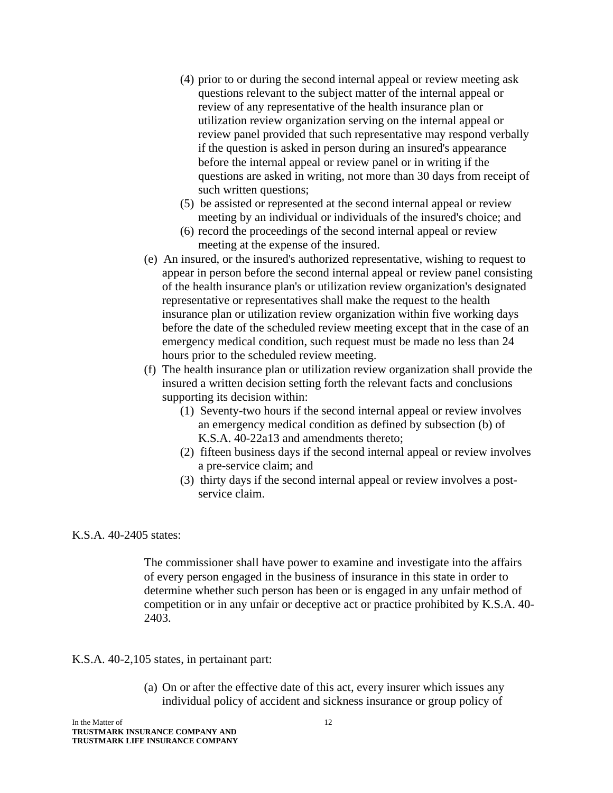- (4) prior to or during the second internal appeal or review meeting ask questions relevant to the subject matter of the internal appeal or review of any representative of the health insurance plan or utilization review organization serving on the internal appeal or review panel provided that such representative may respond verbally if the question is asked in person during an insured's appearance before the internal appeal or review panel or in writing if the questions are asked in writing, not more than 30 days from receipt of such written questions;
- (5) be assisted or represented at the second internal appeal or review meeting by an individual or individuals of the insured's choice; and
- (6) record the proceedings of the second internal appeal or review meeting at the expense of the insured.
- (e) An insured, or the insured's authorized representative, wishing to request to appear in person before the second internal appeal or review panel consisting of the health insurance plan's or utilization review organization's designated representative or representatives shall make the request to the health insurance plan or utilization review organization within five working days before the date of the scheduled review meeting except that in the case of an emergency medical condition, such request must be made no less than 24 hours prior to the scheduled review meeting.
- (f) The health insurance plan or utilization review organization shall provide the insured a written decision setting forth the relevant facts and conclusions supporting its decision within:
	- (1) Seventy-two hours if the second internal appeal or review involves an emergency medical condition as defined by subsection (b) of K.S.A. 40-22a13 and amendments thereto;
	- (2) fifteen business days if the second internal appeal or review involves a pre-service claim; and
	- (3) thirty days if the second internal appeal or review involves a postservice claim.

#### K.S.A. 40-2405 states:

The commissioner shall have power to examine and investigate into the affairs of every person engaged in the business of insurance in this state in order to determine whether such person has been or is engaged in any unfair method of competition or in any unfair or deceptive act or practice prohibited by K.S.A. 40- 2403.

#### K.S.A. 40-2,105 states, in pertainant part:

(a) On or after the effective date of this act, every insurer which issues any individual policy of accident and sickness insurance or group policy of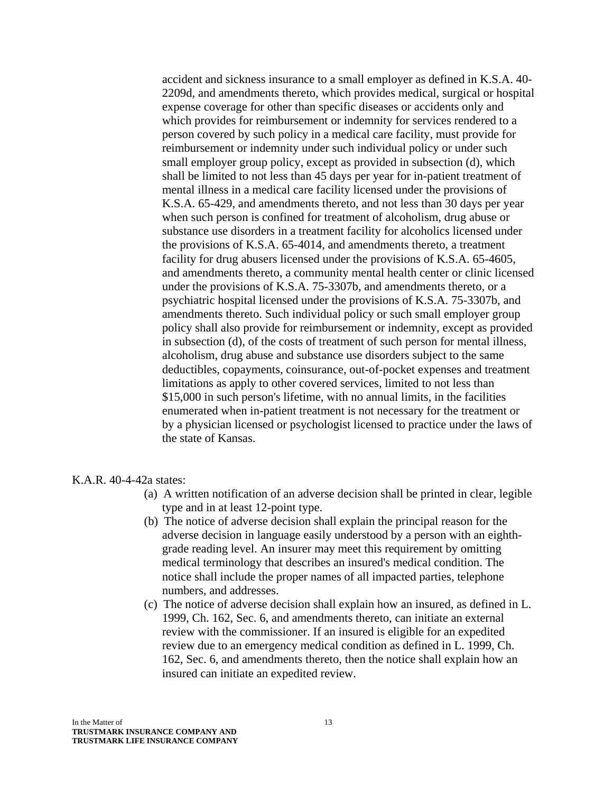accident and sickness insurance to a small employer as defined in K.S.A. 40- 2209d, and amendments thereto, which provides medical, surgical or hospital expense coverage for other than specific diseases or accidents only and which provides for reimbursement or indemnity for services rendered to a person covered by such policy in a medical care facility, must provide for reimbursement or indemnity under such individual policy or under such small employer group policy, except as provided in subsection (d), which shall be limited to not less than 45 days per year for in-patient treatment of mental illness in a medical care facility licensed under the provisions of K.S.A. 65-429, and amendments thereto, and not less than 30 days per year when such person is confined for treatment of alcoholism, drug abuse or substance use disorders in a treatment facility for alcoholics licensed under the provisions of K.S.A. 65-4014, and amendments thereto, a treatment facility for drug abusers licensed under the provisions of K.S.A. 65-4605, and amendments thereto, a community mental health center or clinic licensed under the provisions of K.S.A. 75-3307b, and amendments thereto, or a psychiatric hospital licensed under the provisions of K.S.A. 75-3307b, and amendments thereto. Such individual policy or such small employer group policy shall also provide for reimbursement or indemnity, except as provided in subsection (d), of the costs of treatment of such person for mental illness, alcoholism, drug abuse and substance use disorders subject to the same deductibles, copayments, coinsurance, out-of-pocket expenses and treatment limitations as apply to other covered services, limited to not less than \$15,000 in such person's lifetime, with no annual limits, in the facilities enumerated when in-patient treatment is not necessary for the treatment or by a physician licensed or psychologist licensed to practice under the laws of the state of Kansas.

#### K.A.R. 40-4-42a states:

- (a) A written notification of an adverse decision shall be printed in clear, legible type and in at least 12-point type.
- (b) The notice of adverse decision shall explain the principal reason for the adverse decision in language easily understood by a person with an eighthgrade reading level. An insurer may meet this requirement by omitting medical terminology that describes an insured's medical condition. The notice shall include the proper names of all impacted parties, telephone numbers, and addresses.
- (c) The notice of adverse decision shall explain how an insured, as defined in L. 1999, Ch. 162, Sec. 6, and amendments thereto, can initiate an external review with the commissioner. If an insured is eligible for an expedited review due to an emergency medical condition as defined in L. 1999, Ch. 162, Sec. 6, and amendments thereto, then the notice shall explain how an insured can initiate an expedited review.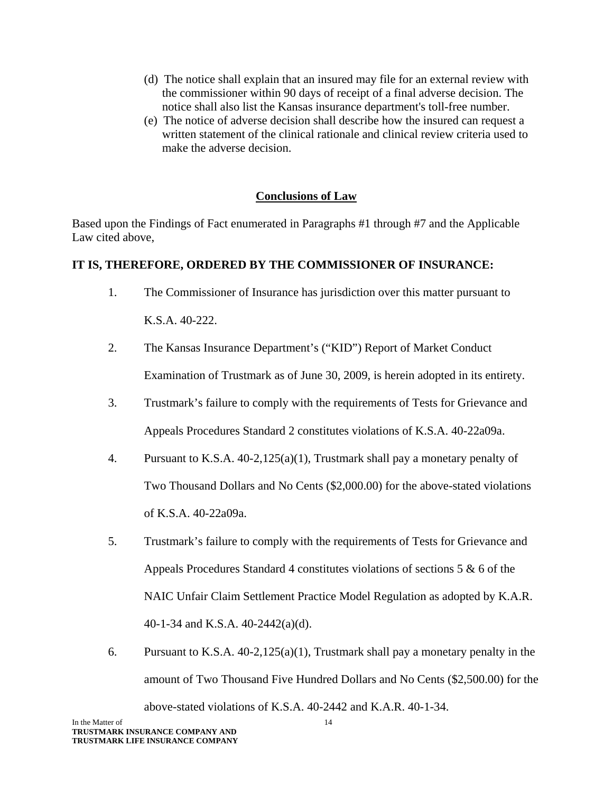- (d) The notice shall explain that an insured may file for an external review with the commissioner within 90 days of receipt of a final adverse decision. The notice shall also list the Kansas insurance department's toll-free number.
- (e) The notice of adverse decision shall describe how the insured can request a written statement of the clinical rationale and clinical review criteria used to make the adverse decision.

## **Conclusions of Law**

Based upon the Findings of Fact enumerated in Paragraphs #1 through #7 and the Applicable Law cited above,

## **IT IS, THEREFORE, ORDERED BY THE COMMISSIONER OF INSURANCE:**

1. The Commissioner of Insurance has jurisdiction over this matter pursuant to

K.S.A. 40-222.

- 2. The Kansas Insurance Department's ("KID") Report of Market Conduct Examination of Trustmark as of June 30, 2009, is herein adopted in its entirety.
- 3. Trustmark's failure to comply with the requirements of Tests for Grievance and Appeals Procedures Standard 2 constitutes violations of K.S.A. 40-22a09a.
- 4. Pursuant to K.S.A. 40-2,125(a)(1), Trustmark shall pay a monetary penalty of Two Thousand Dollars and No Cents (\$2,000.00) for the above-stated violations of K.S.A. 40-22a09a.
- 5. Trustmark's failure to comply with the requirements of Tests for Grievance and Appeals Procedures Standard 4 constitutes violations of sections 5 & 6 of the NAIC Unfair Claim Settlement Practice Model Regulation as adopted by K.A.R. 40-1-34 and K.S.A. 40-2442(a)(d).
- 6. Pursuant to K.S.A. 40-2,125(a)(1), Trustmark shall pay a monetary penalty in the amount of Two Thousand Five Hundred Dollars and No Cents (\$2,500.00) for the above-stated violations of K.S.A. 40-2442 and K.A.R. 40-1-34.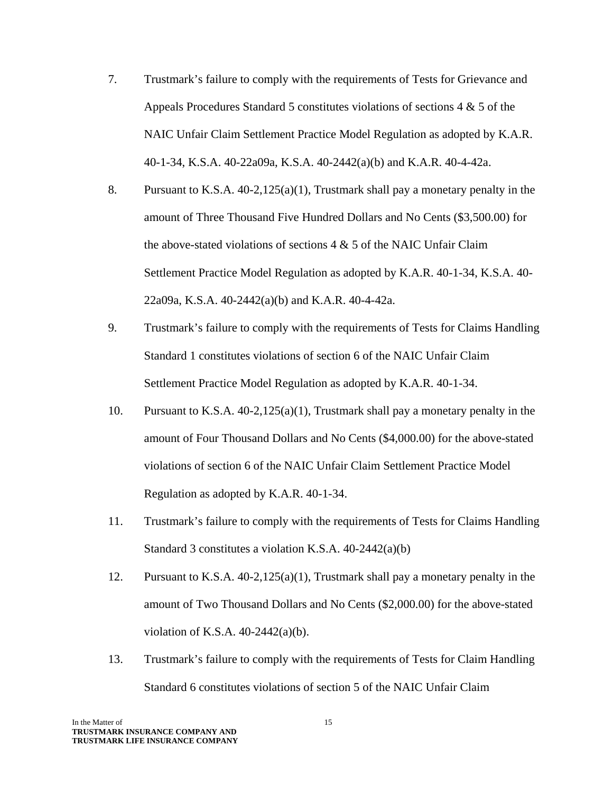- 7. Trustmark's failure to comply with the requirements of Tests for Grievance and Appeals Procedures Standard 5 constitutes violations of sections  $4 \& 5$  of the NAIC Unfair Claim Settlement Practice Model Regulation as adopted by K.A.R. 40-1-34, K.S.A. 40-22a09a, K.S.A. 40-2442(a)(b) and K.A.R. 40-4-42a.
- 8. Pursuant to K.S.A. 40-2,125(a)(1), Trustmark shall pay a monetary penalty in the amount of Three Thousand Five Hundred Dollars and No Cents (\$3,500.00) for the above-stated violations of sections  $4 \& 5$  of the NAIC Unfair Claim Settlement Practice Model Regulation as adopted by K.A.R. 40-1-34, K.S.A. 40- 22a09a, K.S.A. 40-2442(a)(b) and K.A.R. 40-4-42a.
- 9. Trustmark's failure to comply with the requirements of Tests for Claims Handling Standard 1 constitutes violations of section 6 of the NAIC Unfair Claim Settlement Practice Model Regulation as adopted by K.A.R. 40-1-34.
- 10. Pursuant to K.S.A. 40-2,125(a)(1), Trustmark shall pay a monetary penalty in the amount of Four Thousand Dollars and No Cents (\$4,000.00) for the above-stated violations of section 6 of the NAIC Unfair Claim Settlement Practice Model Regulation as adopted by K.A.R. 40-1-34.
- 11. Trustmark's failure to comply with the requirements of Tests for Claims Handling Standard 3 constitutes a violation K.S.A. 40-2442(a)(b)
- 12. Pursuant to K.S.A. 40-2,125(a)(1), Trustmark shall pay a monetary penalty in the amount of Two Thousand Dollars and No Cents (\$2,000.00) for the above-stated violation of K.S.A.  $40-2442(a)(b)$ .
- 13. Trustmark's failure to comply with the requirements of Tests for Claim Handling Standard 6 constitutes violations of section 5 of the NAIC Unfair Claim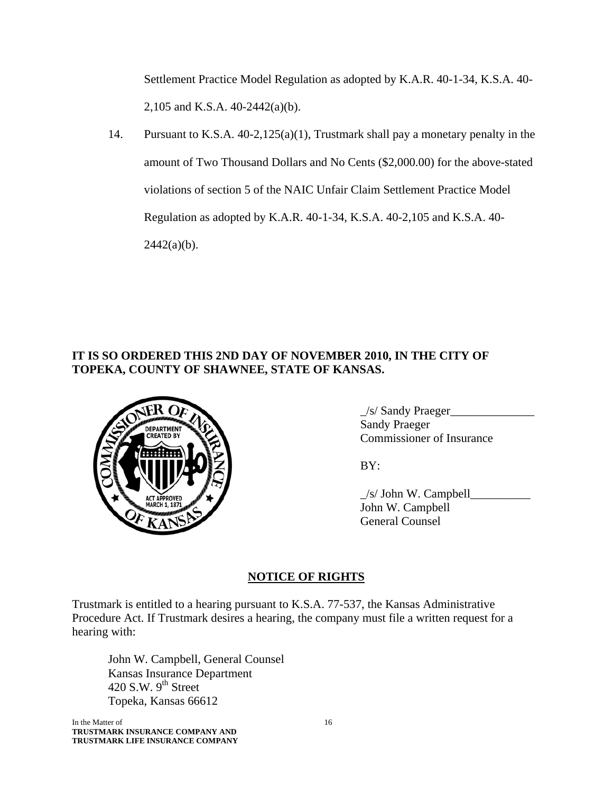Settlement Practice Model Regulation as adopted by K.A.R. 40-1-34, K.S.A. 40- 2,105 and K.S.A. 40-2442(a)(b).

14. Pursuant to K.S.A. 40-2,125(a)(1), Trustmark shall pay a monetary penalty in the amount of Two Thousand Dollars and No Cents (\$2,000.00) for the above-stated violations of section 5 of the NAIC Unfair Claim Settlement Practice Model Regulation as adopted by K.A.R. 40-1-34, K.S.A. 40-2,105 and K.S.A. 40-  $2442(a)(b)$ .

# **IT IS SO ORDERED THIS 2ND DAY OF NOVEMBER 2010, IN THE CITY OF TOPEKA, COUNTY OF SHAWNEE, STATE OF KANSAS.**



 $\frac{1}{s}$  Sandy Praeger Commissioner of Insurance

 $\angle$ s/ John W. Campbell $\angle$  John W. Campbell General Counsel

# **NOTICE OF RIGHTS**

Trustmark is entitled to a hearing pursuant to K.S.A. 77-537, the Kansas Administrative Procedure Act. If Trustmark desires a hearing, the company must file a written request for a hearing with:

 John W. Campbell, General Counsel Kansas Insurance Department 420 S.W.  $9<sup>th</sup>$  Street Topeka, Kansas 66612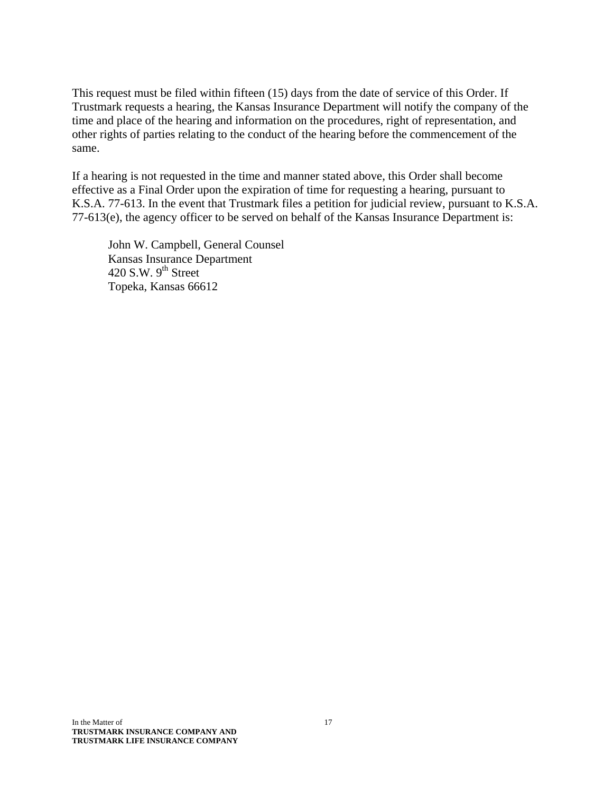This request must be filed within fifteen (15) days from the date of service of this Order. If Trustmark requests a hearing, the Kansas Insurance Department will notify the company of the time and place of the hearing and information on the procedures, right of representation, and other rights of parties relating to the conduct of the hearing before the commencement of the same.

If a hearing is not requested in the time and manner stated above, this Order shall become effective as a Final Order upon the expiration of time for requesting a hearing, pursuant to K.S.A. 77-613. In the event that Trustmark files a petition for judicial review, pursuant to K.S.A. 77-613(e), the agency officer to be served on behalf of the Kansas Insurance Department is:

 John W. Campbell, General Counsel Kansas Insurance Department 420 S.W.  $9<sup>th</sup>$  Street Topeka, Kansas 66612